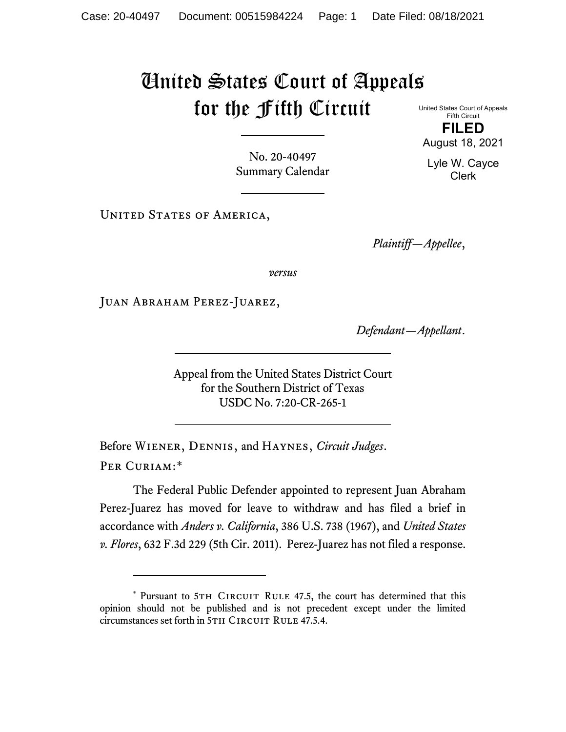## United States Court of Appeals for the Fifth Circuit

United States Court of Appeals Fifth Circuit **FILED**

No. 20-40497 Summary Calendar

UNITED STATES OF AMERICA,

*Plaintiff—Appellee*,

*versus*

Juan Abraham Perez-Juarez,

*Defendant—Appellant*.

Appeal from the United States District Court for the Southern District of Texas USDC No. 7:20-CR-265-1

Before Wiener, Dennis, and Haynes, *Circuit Judges*. Per Curiam:[\\*](#page-0-0)

The Federal Public Defender appointed to represent Juan Abraham Perez-Juarez has moved for leave to withdraw and has filed a brief in accordance with *Anders v. California*, 386 U.S. 738 (1967), and *United States v. Flores*, 632 F.3d 229 (5th Cir. 2011). Perez-Juarez has not filed a response.

August 18, 2021 Lyle W. Cayce

Clerk

<span id="page-0-0"></span><sup>\*</sup> Pursuant to 5TH CIRCUIT RULE 47.5, the court has determined that this opinion should not be published and is not precedent except under the limited circumstances set forth in 5TH CIRCUIT RULE 47.5.4.